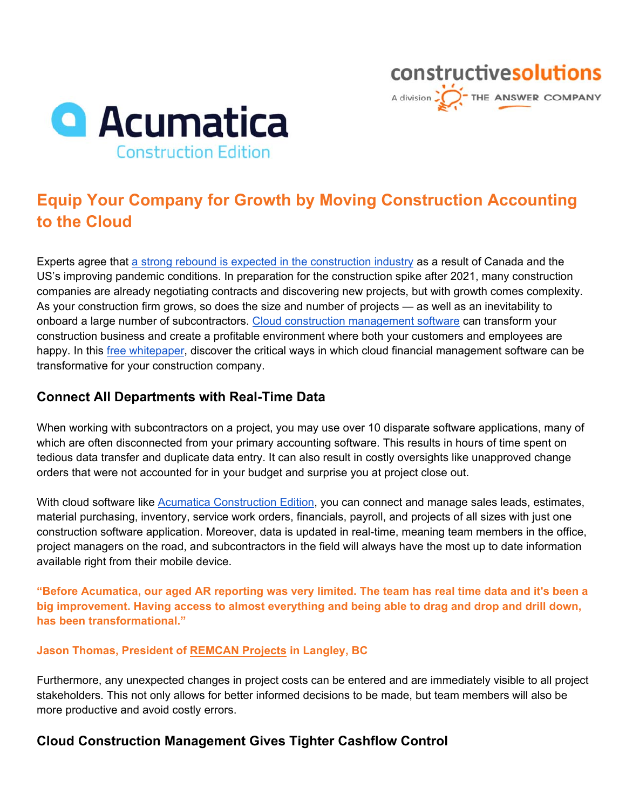

# **Equip Your Company for Growth by Moving Construction Accounting to the Cloud**

constructivesolutions

A division  $\sum_{n=1}^{\infty}$  THE ANSWER COMPANY

Experts agree that [a strong rebound is expected in the construction industry](https://www.jdsupra.com/legalnews/positive-economic-news-from-the-1245411/) as a result of Canada and the US's improving pandemic conditions. In preparation for the construction spike after 2021, many construction companies are already negotiating contracts and discovering new projects, but with growth comes complexity. As your construction firm grows, so does the size and number of projects — as well as an inevitability to onboard a large number of subcontractors. [Cloud construction management software c](https://www.theanswerco.com/industry/construction-erp-solution/)an transform your construction business and create a profitable environment where both your customers and employees are happy. In this [free whitepaper, d](https://drive.google.com/file/d/1YidZ-h849wGHv4S2qGbyIp0MHhCvJRP-/view?usp=sharing)iscover the critical ways in which cloud financial management software can be transformative for your construction company.

#### **Connect All Departments with Real-Time Data**

When working with subcontractors on a project, you may use over 10 disparate software applications, many of which are often disconnected from your primary accounting software. This results in hours of time spent on tedious data transfer and duplicate data entry. It can also result in costly oversights like unapproved change orders that were not accounted for in your budget and surprise you at project close out.

With cloud software like [Acumatica Construction Edition,](https://www.theanswerco.com/industry-solution/construction-with-acumatica/) you can connect and manage sales leads, estimates, material purchasing, inventory, service work orders, financials, payroll, and projects of all sizes with just one construction software application. Moreover, data is updated in real-time, meaning team members in the office, project managers on the road, and subcontractors in the field will always have the most up to date information available right from their mobile device.

**"Before Acumatica, our aged AR reporting was very limited. The team has real time data and it's been a big improvement. Having access to almost everything and being able to drag and drop and drill down, has been transformational."** 

#### **Jason Thomas, President o[f REMCAN Projects i](https://www.acumatica.com/success-stories/erp-system-for-remcan-projects/?utm_source=Partner&utm_medium=link&utm_campaign=Partner_The+Answer+Company)n Langley, BC**

Furthermore, any unexpected changes in project costs can be entered and are immediately visible to all project stakeholders. This not only allows for better informed decisions to be made, but team members will also be more productive and avoid costly errors.

### **Cloud Construction Management Gives Tighter Cashflow Control**